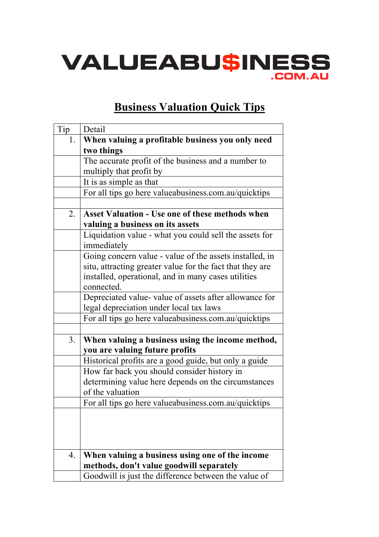

## **Business Valuation Quick Tips**

| Tip              | Detail                                                    |
|------------------|-----------------------------------------------------------|
| 1.               | When valuing a profitable business you only need          |
|                  | two things                                                |
|                  | The accurate profit of the business and a number to       |
|                  | multiply that profit by                                   |
|                  | It is as simple as that                                   |
|                  | For all tips go here valueabusiness.com.au/quicktips      |
|                  |                                                           |
| 2.               | <b>Asset Valuation - Use one of these methods when</b>    |
|                  | valuing a business on its assets                          |
|                  | Liquidation value - what you could sell the assets for    |
|                  | immediately                                               |
|                  | Going concern value - value of the assets installed, in   |
|                  | situ, attracting greater value for the fact that they are |
|                  | installed, operational, and in many cases utilities       |
|                  | connected.                                                |
|                  | Depreciated value- value of assets after allowance for    |
|                  | legal depreciation under local tax laws                   |
|                  | For all tips go here valueabusiness.com.au/quicktips      |
|                  |                                                           |
| 3.               | When valuing a business using the income method,          |
|                  | you are valuing future profits                            |
|                  | Historical profits are a good guide, but only a guide     |
|                  | How far back you should consider history in               |
|                  | determining value here depends on the circumstances       |
|                  | of the valuation                                          |
|                  | For all tips go here valueabusiness.com.au/quicktips      |
|                  |                                                           |
|                  |                                                           |
|                  |                                                           |
|                  |                                                           |
| $\overline{4}$ . | When valuing a business using one of the income           |
|                  | methods, don't value goodwill separately                  |
|                  | Goodwill is just the difference between the value of      |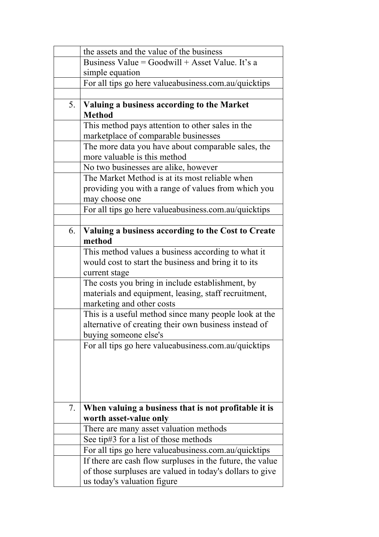|    | the assets and the value of the business                     |
|----|--------------------------------------------------------------|
|    | Business Value = $Goodwill + Asset Value$ . It's a           |
|    | simple equation                                              |
|    | For all tips go here valueabusiness.com.au/quicktips         |
|    |                                                              |
|    |                                                              |
| 5. | Valuing a business according to the Market<br><b>Method</b>  |
|    | This method pays attention to other sales in the             |
|    | marketplace of comparable businesses                         |
|    | The more data you have about comparable sales, the           |
|    | more valuable is this method                                 |
|    | No two businesses are alike, however                         |
|    | The Market Method is at its most reliable when               |
|    | providing you with a range of values from which you          |
|    | may choose one                                               |
|    | For all tips go here valueabusiness.com.au/quicktips         |
|    |                                                              |
| 6. | Valuing a business according to the Cost to Create<br>method |
|    | This method values a business according to what it           |
|    | would cost to start the business and bring it to its         |
|    | current stage                                                |
|    | The costs you bring in include establishment, by             |
|    | materials and equipment, leasing, staff recruitment,         |
|    | marketing and other costs                                    |
|    | This is a useful method since many people look at the        |
|    | alternative of creating their own business instead of        |
|    | buying someone else's                                        |
|    | For all tips go here valueabusiness.com.au/quicktips         |
|    |                                                              |
|    |                                                              |
|    |                                                              |
|    |                                                              |
|    |                                                              |
| 7. | When valuing a business that is not profitable it is         |
|    | worth asset-value only                                       |
|    | There are many asset valuation methods                       |
|    |                                                              |
|    | See tip#3 for a list of those methods                        |
|    | For all tips go here valueabusiness.com.au/quicktips         |
|    | If there are cash flow surpluses in the future, the value    |
|    | of those surpluses are valued in today's dollars to give     |
|    | us today's valuation figure                                  |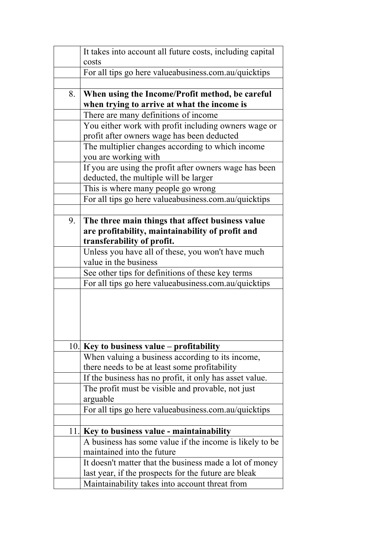|     | It takes into account all future costs, including capital                                                                          |
|-----|------------------------------------------------------------------------------------------------------------------------------------|
|     | costs<br>For all tips go here valueabusiness.com.au/quicktips                                                                      |
|     |                                                                                                                                    |
| 8.  | When using the Income/Profit method, be careful<br>when trying to arrive at what the income is                                     |
|     | There are many definitions of income                                                                                               |
|     | You either work with profit including owners wage or<br>profit after owners wage has been deducted                                 |
|     | The multiplier changes according to which income<br>you are working with                                                           |
|     | If you are using the profit after owners wage has been<br>deducted, the multiple will be larger                                    |
|     | This is where many people go wrong                                                                                                 |
|     | For all tips go here valueabusiness.com.au/quicktips                                                                               |
| 9.  | The three main things that affect business value<br>are profitability, maintainability of profit and<br>transferability of profit. |
|     | Unless you have all of these, you won't have much                                                                                  |
|     | value in the business                                                                                                              |
|     | See other tips for definitions of these key terms                                                                                  |
|     | For all tips go here valueabusiness.com.au/quicktips                                                                               |
|     |                                                                                                                                    |
|     | 10. Key to business value - profitability                                                                                          |
|     | When valuing a business according to its income,                                                                                   |
|     | there needs to be at least some profitability                                                                                      |
|     | If the business has no profit, it only has asset value.                                                                            |
|     | The profit must be visible and provable, not just<br>arguable                                                                      |
|     | For all tips go here valueabusiness.com.au/quicktips                                                                               |
|     |                                                                                                                                    |
| 11. | Key to business value - maintainability                                                                                            |
|     | A business has some value if the income is likely to be                                                                            |
|     | maintained into the future                                                                                                         |
|     | It doesn't matter that the business made a lot of money                                                                            |
|     | last year, if the prospects for the future are bleak                                                                               |
|     | Maintainability takes into account threat from                                                                                     |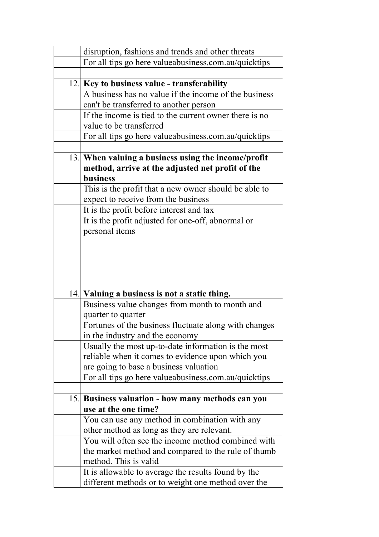|     | disruption, fashions and trends and other threats                                                                                                 |
|-----|---------------------------------------------------------------------------------------------------------------------------------------------------|
|     | For all tips go here valueabusiness.com.au/quicktips                                                                                              |
|     |                                                                                                                                                   |
|     | 12. Key to business value - transferability                                                                                                       |
|     | A business has no value if the income of the business                                                                                             |
|     | can't be transferred to another person                                                                                                            |
|     | If the income is tied to the current owner there is no                                                                                            |
|     | value to be transferred                                                                                                                           |
|     | For all tips go here valueabusiness.com.au/quicktips                                                                                              |
|     |                                                                                                                                                   |
|     | 13. When valuing a business using the income/profit                                                                                               |
|     | method, arrive at the adjusted net profit of the                                                                                                  |
|     | <b>business</b>                                                                                                                                   |
|     | This is the profit that a new owner should be able to                                                                                             |
|     | expect to receive from the business                                                                                                               |
|     | It is the profit before interest and tax                                                                                                          |
|     | It is the profit adjusted for one-off, abnormal or                                                                                                |
|     | personal items                                                                                                                                    |
|     |                                                                                                                                                   |
|     |                                                                                                                                                   |
|     |                                                                                                                                                   |
|     |                                                                                                                                                   |
|     |                                                                                                                                                   |
| 14. | Valuing a business is not a static thing.                                                                                                         |
|     | Business value changes from month to month and                                                                                                    |
|     | quarter to quarter                                                                                                                                |
|     | Fortunes of the business fluctuate along with changes                                                                                             |
|     | in the industry and the economy                                                                                                                   |
|     | Usually the most up-to-date information is the most                                                                                               |
|     | reliable when it comes to evidence upon which you                                                                                                 |
|     | are going to base a business valuation                                                                                                            |
|     | For all tips go here valueabusiness.com.au/quicktips                                                                                              |
|     |                                                                                                                                                   |
|     |                                                                                                                                                   |
|     | use at the one time?                                                                                                                              |
|     |                                                                                                                                                   |
|     |                                                                                                                                                   |
|     | You will often see the income method combined with                                                                                                |
|     | the market method and compared to the rule of thumb                                                                                               |
|     | method. This is valid                                                                                                                             |
|     | It is allowable to average the results found by the                                                                                               |
|     | different methods or to weight one method over the                                                                                                |
|     | 15. Business valuation - how many methods can you<br>You can use any method in combination with any<br>other method as long as they are relevant. |